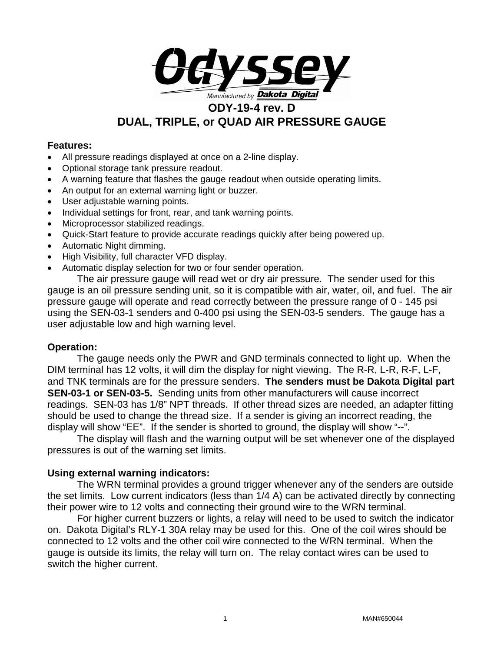

#### **Features:**

- All pressure readings displayed at once on a 2-line display.
- Optional storage tank pressure readout.
- A warning feature that flashes the gauge readout when outside operating limits.
- An output for an external warning light or buzzer.
- User adjustable warning points.
- Individual settings for front, rear, and tank warning points.
- Microprocessor stabilized readings.
- Quick-Start feature to provide accurate readings quickly after being powered up.
- Automatic Night dimming.
- High Visibility, full character VFD display.
- Automatic display selection for two or four sender operation.

The air pressure gauge will read wet or dry air pressure. The sender used for this gauge is an oil pressure sending unit, so it is compatible with air, water, oil, and fuel. The air pressure gauge will operate and read correctly between the pressure range of 0 - 145 psi using the SEN-03-1 senders and 0-400 psi using the SEN-03-5 senders. The gauge has a user adjustable low and high warning level.

#### **Operation:**

The gauge needs only the PWR and GND terminals connected to light up. When the DIM terminal has 12 volts, it will dim the display for night viewing. The R-R, L-R, R-F, L-F, and TNK terminals are for the pressure senders. **The senders must be Dakota Digital part SEN-03-1 or SEN-03-5.** Sending units from other manufacturers will cause incorrect readings. SEN-03 has 1/8" NPT threads. If other thread sizes are needed, an adapter fitting should be used to change the thread size. If a sender is giving an incorrect reading, the display will show "EE". If the sender is shorted to ground, the display will show "--".

The display will flash and the warning output will be set whenever one of the displayed pressures is out of the warning set limits.

#### **Using external warning indicators:**

The WRN terminal provides a ground trigger whenever any of the senders are outside the set limits. Low current indicators (less than 1/4 A) can be activated directly by connecting their power wire to 12 volts and connecting their ground wire to the WRN terminal.

For higher current buzzers or lights, a relay will need to be used to switch the indicator on. Dakota Digital's RLY-1 30A relay may be used for this. One of the coil wires should be connected to 12 volts and the other coil wire connected to the WRN terminal. When the gauge is outside its limits, the relay will turn on. The relay contact wires can be used to switch the higher current.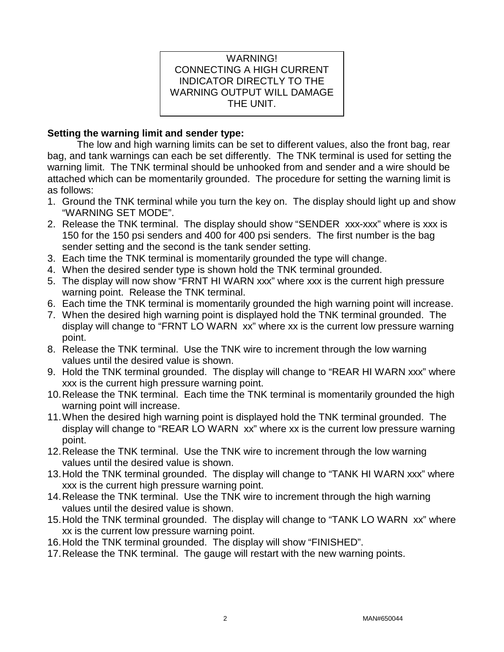### WARNING! CONNECTING A HIGH CURRENT INDICATOR DIRECTLY TO THE WARNING OUTPUT WILL DAMAGE THE UNIT.

#### **Setting the warning limit and sender type:**

The low and high warning limits can be set to different values, also the front bag, rear bag, and tank warnings can each be set differently. The TNK terminal is used for setting the warning limit. The TNK terminal should be unhooked from and sender and a wire should be attached which can be momentarily grounded. The procedure for setting the warning limit is as follows:

- 1. Ground the TNK terminal while you turn the key on. The display should light up and show "WARNING SET MODE".
- 2. Release the TNK terminal. The display should show "SENDER xxx-xxx" where is xxx is 150 for the 150 psi senders and 400 for 400 psi senders. The first number is the bag sender setting and the second is the tank sender setting.
- 3. Each time the TNK terminal is momentarily grounded the type will change.
- 4. When the desired sender type is shown hold the TNK terminal grounded.
- 5. The display will now show "FRNT HI WARN xxx" where xxx is the current high pressure warning point. Release the TNK terminal.
- 6. Each time the TNK terminal is momentarily grounded the high warning point will increase.
- 7. When the desired high warning point is displayed hold the TNK terminal grounded. The display will change to "FRNT LO WARN xx" where xx is the current low pressure warning point.
- 8. Release the TNK terminal. Use the TNK wire to increment through the low warning values until the desired value is shown.
- 9. Hold the TNK terminal grounded. The display will change to "REAR HI WARN xxx" where xxx is the current high pressure warning point.
- 10.Release the TNK terminal. Each time the TNK terminal is momentarily grounded the high warning point will increase.
- 11.When the desired high warning point is displayed hold the TNK terminal grounded. The display will change to "REAR LO WARN xx" where xx is the current low pressure warning point.
- 12.Release the TNK terminal. Use the TNK wire to increment through the low warning values until the desired value is shown.
- 13.Hold the TNK terminal grounded. The display will change to "TANK HI WARN xxx" where xxx is the current high pressure warning point.
- 14.Release the TNK terminal. Use the TNK wire to increment through the high warning values until the desired value is shown.
- 15.Hold the TNK terminal grounded. The display will change to "TANK LO WARN xx" where xx is the current low pressure warning point.
- 16.Hold the TNK terminal grounded. The display will show "FINISHED".
- 17.Release the TNK terminal. The gauge will restart with the new warning points.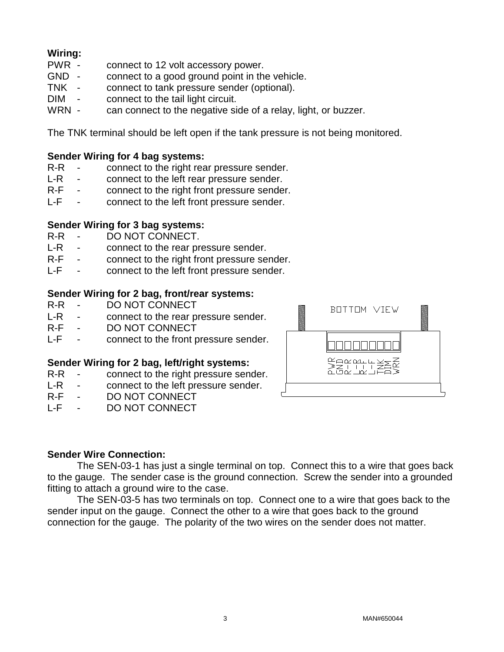# **Wiring:**

- connect to 12 volt accessory power.
- GND connect to a good ground point in the vehicle.
- TNK connect to tank pressure sender (optional).
- DIM connect to the tail light circuit.
- WRN can connect to the negative side of a relay, light, or buzzer.

The TNK terminal should be left open if the tank pressure is not being monitored.

# **Sender Wiring for 4 bag systems:**<br>R-R - connect to the right rea

- connect to the right rear pressure sender.
- L-R connect to the left rear pressure sender.<br>R-F connect to the right front pressure sende
- connect to the right front pressure sender.
- L-F connect to the left front pressure sender.

# **Sender Wiring for 3 bag systems:**

- DO NOT CONNECT.
- L-R connect to the rear pressure sender.
- R-F connect to the right front pressure sender.
- L-F connect to the left front pressure sender.

#### **Sender Wiring for 2 bag, front/rear systems:**

- R-R DO NOT CONNECT
- L-R connect to the rear pressure sender.<br>R-F DO NOT CONNECT
- R-F DO NOT CONNECT<br>L-F connect to the front p
- connect to the front pressure sender.

#### **Sender Wiring for 2 bag, left/right systems:**

- R-R connect to the right pressure sender.
- L-R connect to the left pressure sender.<br>R-F DO NOT CONNECT
- DO NOT CONNECT
- L-F DO NOT CONNECT



#### **Sender Wire Connection:**

The SEN-03-1 has just a single terminal on top. Connect this to a wire that goes back to the gauge. The sender case is the ground connection. Screw the sender into a grounded fitting to attach a ground wire to the case.

The SEN-03-5 has two terminals on top. Connect one to a wire that goes back to the sender input on the gauge. Connect the other to a wire that goes back to the ground connection for the gauge. The polarity of the two wires on the sender does not matter.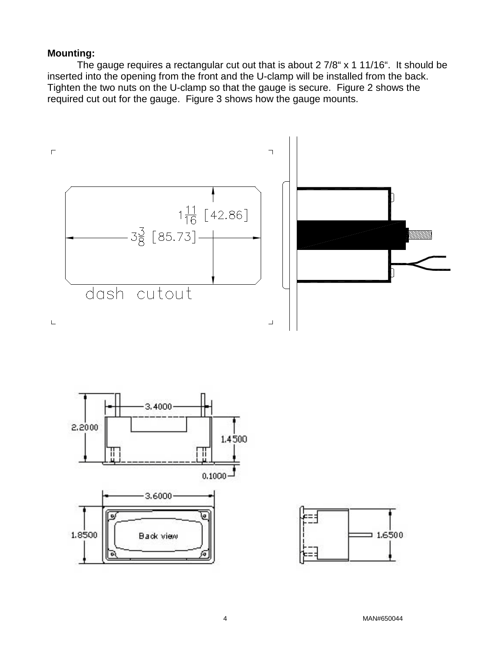#### **Mounting:**

The gauge requires a rectangular cut out that is about 2 7/8" x 1 11/16". It should be inserted into the opening from the front and the U-clamp will be installed from the back. Tighten the two nuts on the U-clamp so that the gauge is secure. Figure 2 shows the required cut out for the gauge. Figure 3 shows how the gauge mounts.





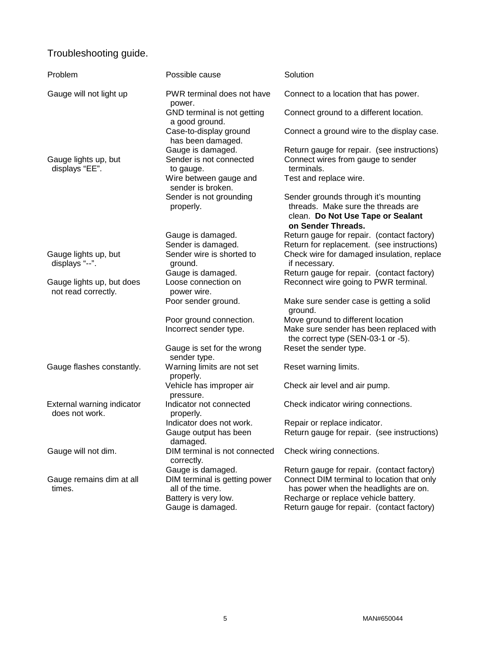### Troubleshooting guide.

| Problem                                          | Possible cause                                                            | Solution                                                                                                                              |  |  |
|--------------------------------------------------|---------------------------------------------------------------------------|---------------------------------------------------------------------------------------------------------------------------------------|--|--|
| Gauge will not light up                          | PWR terminal does not have<br>power.                                      | Connect to a location that has power.                                                                                                 |  |  |
|                                                  | GND terminal is not getting<br>a good ground.                             | Connect ground to a different location.                                                                                               |  |  |
|                                                  | Case-to-display ground<br>has been damaged.                               | Connect a ground wire to the display case.                                                                                            |  |  |
|                                                  | Gauge is damaged.                                                         | Return gauge for repair. (see instructions)                                                                                           |  |  |
| Gauge lights up, but<br>displays "EE".           | Sender is not connected<br>to gauge.                                      | Connect wires from gauge to sender<br>terminals.                                                                                      |  |  |
|                                                  | Wire between gauge and<br>sender is broken.                               | Test and replace wire.                                                                                                                |  |  |
|                                                  | Sender is not grounding<br>properly.                                      | Sender grounds through it's mounting<br>threads. Make sure the threads are<br>clean. Do Not Use Tape or Sealant<br>on Sender Threads. |  |  |
|                                                  | Gauge is damaged.                                                         | Return gauge for repair. (contact factory)                                                                                            |  |  |
|                                                  | Sender is damaged.                                                        | Return for replacement. (see instructions)                                                                                            |  |  |
| Gauge lights up, but<br>displays "--".           | Sender wire is shorted to                                                 | Check wire for damaged insulation, replace                                                                                            |  |  |
|                                                  | ground.                                                                   | if necessary.                                                                                                                         |  |  |
| Gauge lights up, but does<br>not read correctly. | Gauge is damaged.<br>Loose connection on<br>power wire.                   | Return gauge for repair. (contact factory)<br>Reconnect wire going to PWR terminal.                                                   |  |  |
|                                                  | Poor sender ground.                                                       | Make sure sender case is getting a solid<br>ground.                                                                                   |  |  |
|                                                  | Poor ground connection.                                                   | Move ground to different location                                                                                                     |  |  |
|                                                  | Incorrect sender type.                                                    | Make sure sender has been replaced with<br>the correct type (SEN-03-1 or -5).                                                         |  |  |
|                                                  | Gauge is set for the wrong<br>sender type.                                | Reset the sender type.                                                                                                                |  |  |
| Gauge flashes constantly.                        | Warning limits are not set<br>properly.                                   | Reset warning limits.                                                                                                                 |  |  |
|                                                  | Vehicle has improper air<br>pressure.                                     | Check air level and air pump.                                                                                                         |  |  |
| External warning indicator<br>does not work.     | Indicator not connected<br>properly.                                      | Check indicator wiring connections.                                                                                                   |  |  |
|                                                  | Indicator does not work.                                                  | Repair or replace indicator.                                                                                                          |  |  |
|                                                  | Gauge output has been<br>damaged.                                         | Return gauge for repair. (see instructions)                                                                                           |  |  |
| Gauge will not dim.                              | DIM terminal is not connected<br>correctly.                               | Check wiring connections.                                                                                                             |  |  |
|                                                  | Gauge is damaged.                                                         | Return gauge for repair. (contact factory)                                                                                            |  |  |
| Gauge remains dim at all<br>times.               | DIM terminal is getting power<br>all of the time.<br>Battery is very low. | Connect DIM terminal to location that only<br>has power when the headlights are on.<br>Recharge or replace vehicle battery.           |  |  |
|                                                  | Gauge is damaged.                                                         | Return gauge for repair. (contact factory)                                                                                            |  |  |